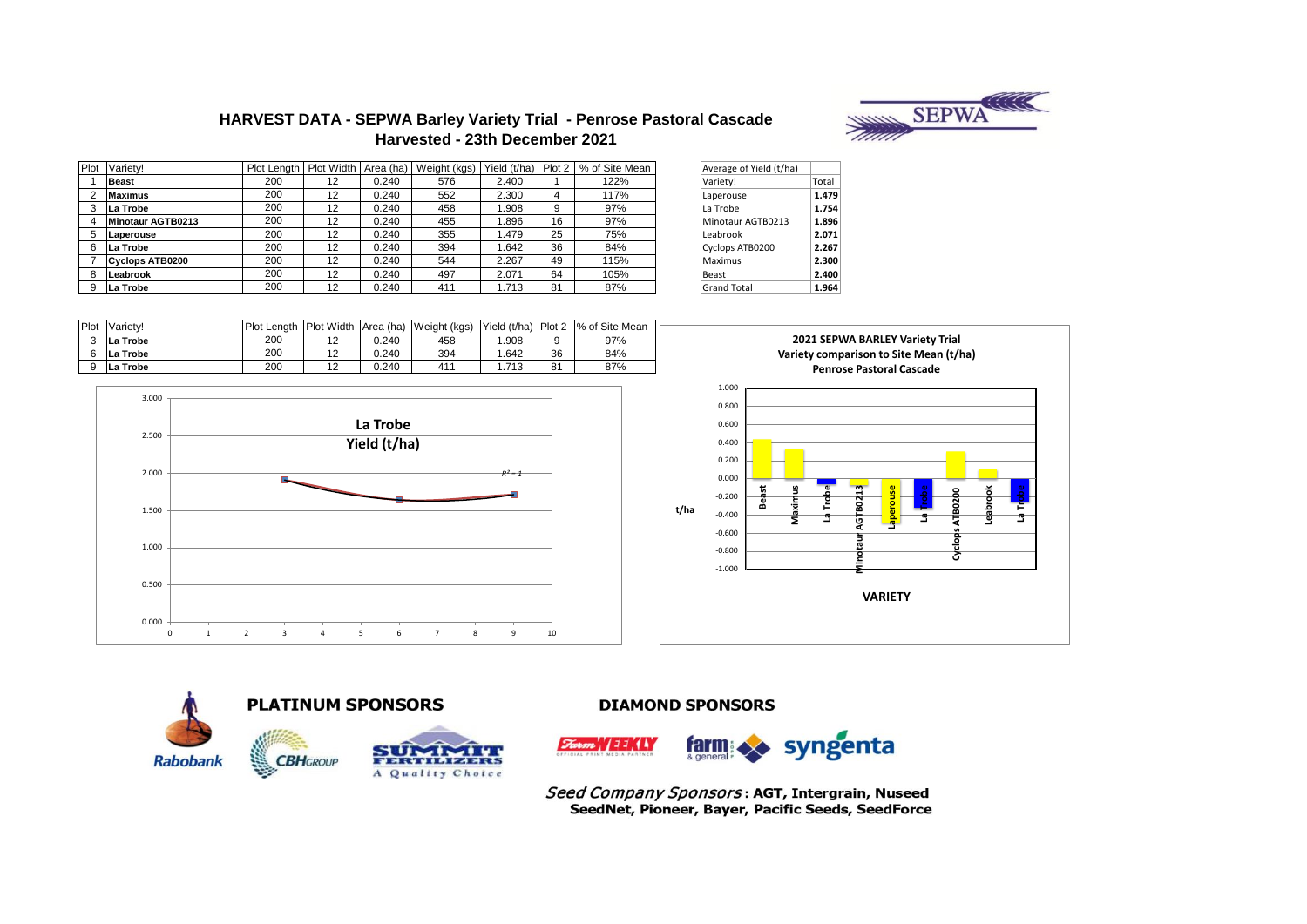

# **HARVEST DATA - SEPWA Barley Variety Trial - Penrose Pastoral Cascade Harvested - 23th December 2021**

| Plot | Variety!          | Plot Length |    |       | Plot Width   Area (ha)   Weight (kgs) | Yield (t/ha) Plot 2 |          | % of Site Mean | Average of Yield (t/ha) |       |
|------|-------------------|-------------|----|-------|---------------------------------------|---------------------|----------|----------------|-------------------------|-------|
|      | <b>Beast</b>      | 200         | 12 | 0.240 | 576                                   | 2.400               |          | 122%           | Variety!                | Total |
|      | <b>Maximus</b>    | 200         | 12 | 0.240 | 552                                   | 2.300               | $\Delta$ | 117%           | Laperouse               | 1.479 |
|      | La Trobe          | 200         | 12 | 0.240 | 458                                   | 1.908               | 9        | 97%            | La Trobe                | 1.754 |
|      | Minotaur AGTB0213 | 200         | 12 | 0.240 | 455                                   | 896.                | 16       | 97%            | Minotaur AGTB0213       | 1.896 |
|      | Laperouse         | 200         | 12 | 0.240 | 355                                   | .479                | 25       | 75%            | Leabrook                | 2.071 |
|      | La Trobe          | 200         | 12 | 0.240 | 394                                   | 1.642               | 36       | 84%            | Cyclops ATB0200         | 2.267 |
|      | Cyclops ATB0200   | 200         | 12 | 0.240 | 544                                   | 2.267               | 49       | 115%           | Maximus                 | 2.300 |
|      | Leabrook          | 200         | 12 | 0.240 | 497                                   | 2.071               | 64       | 105%           | Beast                   | 2.400 |
|      | La Trobe          | 200         | 12 | 0.240 | 411                                   | 1.713               | 81       | 87%            | <b>Grand Total</b>      | 1.964 |

| Average of Yield (t/ha) |       |
|-------------------------|-------|
| Variety!                | Total |
| Laperouse               | 1.479 |
| La Trobe                | 1.754 |
| Minotaur AGTB0213       | 1.896 |
| Leabrook                | 2.071 |
| Cyclops ATB0200         | 2.267 |
| Maximus                 | 2.300 |
| Beast                   | 2.400 |
| <b>Grand Total</b>      | 1.964 |

| Plot   | Variety!           | Plot<br>Lenath | <b>Plot Width</b> | Area (ha) | Weight (kgs) | Yield (t/ha) | Plot 2 | % of Site Mean |
|--------|--------------------|----------------|-------------------|-----------|--------------|--------------|--------|----------------|
| $\sim$ | <b>Trobe</b><br>La | 200            | ∼                 | 0.240     | 458          | .908         |        | 97%            |
| 6      | La Trobe           | 200            | -                 | 0.240     | 394          | .642         | 36     | 84%            |
| 9      | Trobe<br>La        | 200            | . .               | 0.240     | 411          | 1.713        | 81     | 87%            |



**PLATINUM SPONSORS** 







**DIAMOND SPONSORS** 



Seed Company Sponsors: AGT, Intergrain, Nuseed SeedNet, Pioneer, Bayer, Pacific Seeds, SeedForce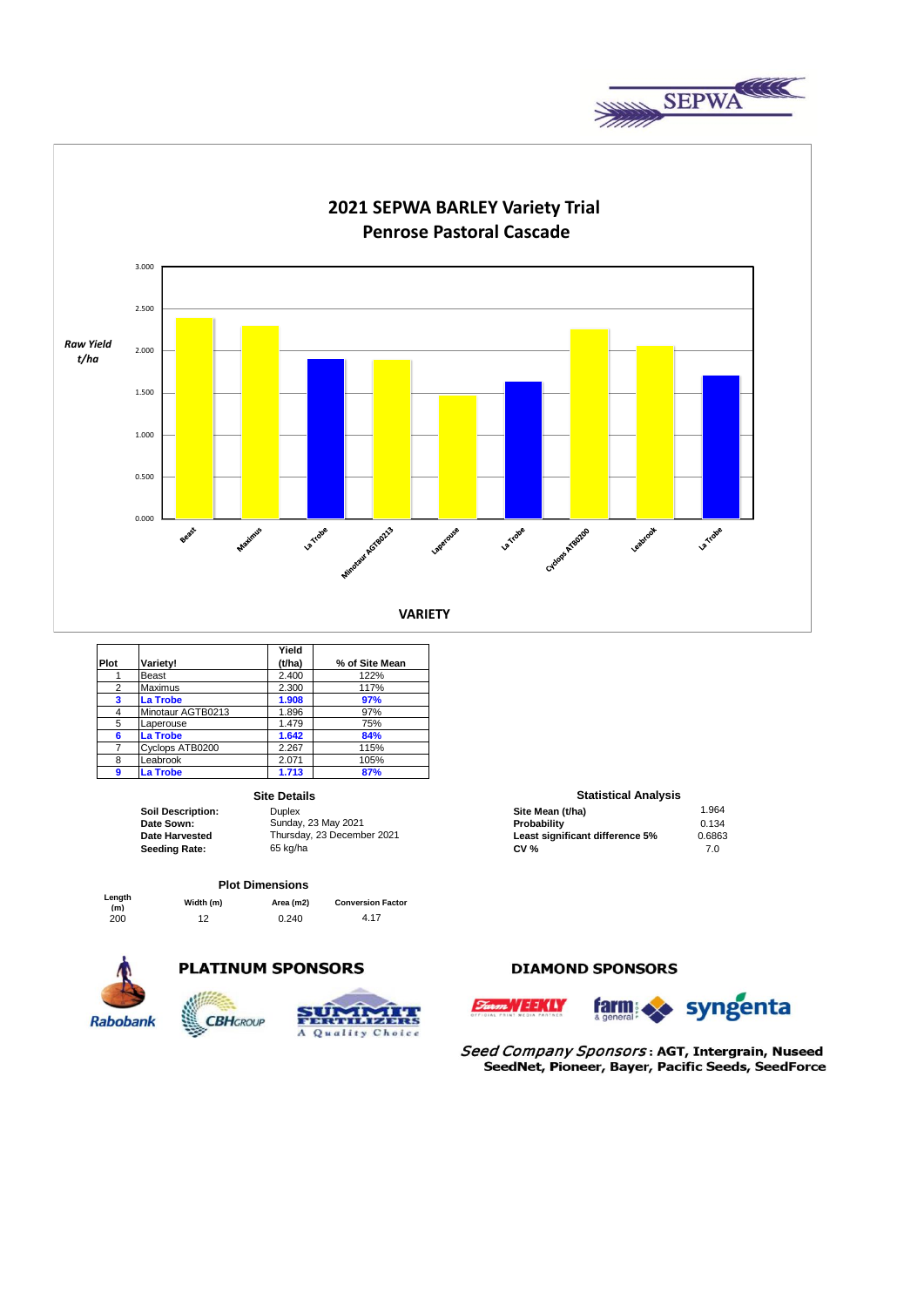



|      |                   | Yield  |                |
|------|-------------------|--------|----------------|
| Plot | Variety!          | (t/ha) | % of Site Mean |
|      | Beast             | 2.400  | 122%           |
| 2    | Maximus           | 2.300  | 117%           |
| 3    | La Trobe          | 1.908  | 97%            |
| 4    | Minotaur AGTB0213 | 1.896  | 97%            |
| 5    | Laperouse         | 1.479  | 75%            |
| 6    | La Trobe          | 1.642  | 84%            |
| 7    | Cyclops ATB0200   | 2.267  | 115%           |
| 8    | Leabrook          | 2.071  | 105%           |
| 9    | La Trobe          | 1.713  | 87%            |

#### **Site Details**

**Seeding Rate:** 

**Soil Description:** Duplex Duplex **Site Mean (t/ha)** 1.964<br> **Date Sown:** Sunday, 23 May 2021 **1.964 Probability Probability** 1.964 **Date Sown: Probability Probability Probability Probability Probability Probability 0.134 Date Harvested** Thursday, 23 December 2021 **Least significant difference 5%** 0.6863<br> **Seeding Rate:** 65 kg/ha 00 65 kg/ha 00 65 kg/ha 00 65 kg/ha 00 65 kg/ha 00 65 kg/ha 00 65 65 65 66 66 66 66 66 66 Thursday, 23 December 2021

#### **Plot Dimensions**

| Length<br>(m) | Width (m) | Area (m2) | <b>Conversion Factor</b> |
|---------------|-----------|-----------|--------------------------|
| 200           | 12        | 0.240     | 4.17                     |



## **PLATINUM SPONSORS**



## **DIAMOND SPONSORS**



**Statistical Analysis** 

Seed Company Sponsors: AGT, Intergrain, Nuseed SeedNet, Pioneer, Bayer, Pacific Seeds, SeedForce